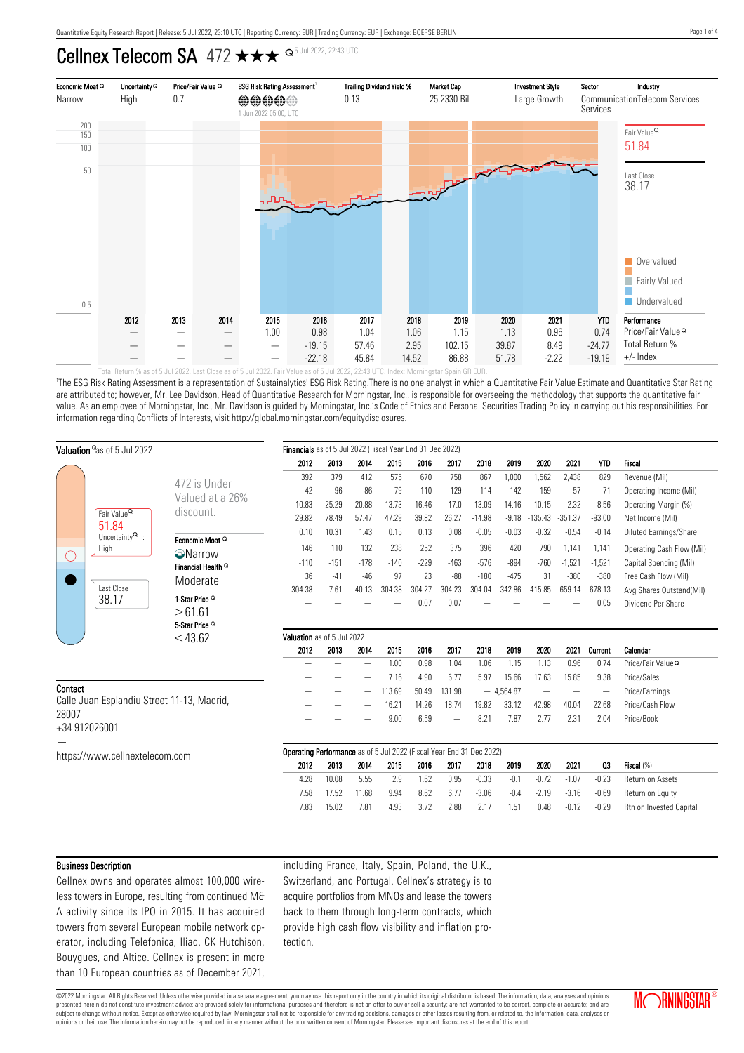# Cellnex Telecom SA  $472 \star \star \star$   $9^{5 \text{ Jul } 2022, 22:43 \text{ UTC}}$



'The ESG Risk Rating Assessment is a representation of Sustainalytics' ESG Risk Rating.There is no one analyst in which a Quantitative Fair Value Estimate and Quantitative Star Rating are attributed to; however, Mr. Lee Davidson, Head of Quantitative Research for Morningstar, Inc., is responsible for overseeing the methodology that supports the quantitative fair value. As an employee of Morningstar, Inc., Mr. Davidson is guided by Morningstar, Inc.'s Code of Ethics and Personal Securities Trading Policy in carrying out his responsibilities. For information regarding Conflicts of Interests, visit http://global.morningstar.com/equitydisclosures.

| Valuation <sup>o</sup> as of 5 Jul 2022                                                                     |                                                  | Financials as of 5 Jul 2022 (Fiscal Year End 31 Dec 2022)            |        |        |        |        |                          |          |             |           |                          |                          |                               |
|-------------------------------------------------------------------------------------------------------------|--------------------------------------------------|----------------------------------------------------------------------|--------|--------|--------|--------|--------------------------|----------|-------------|-----------|--------------------------|--------------------------|-------------------------------|
|                                                                                                             |                                                  | 2012                                                                 | 2013   | 2014   | 2015   | 2016   | 2017                     | 2018     | 2019        | 2020      | 2021                     | <b>YTD</b>               | Fiscal                        |
|                                                                                                             | 472 is Under                                     | 392                                                                  | 379    | 412    | 575    | 670    | 758                      | 867      | 1,000       | 1,562     | 2,438                    | 829                      | Revenue (Mil)                 |
|                                                                                                             |                                                  | 42                                                                   | 96     | 86     | 79     | 110    | 129                      | 114      | 142         | 159       | 57                       | 71                       | Operating Income (Mil)        |
| Fair Value <sup>Q</sup><br>51.84<br>Uncertainty $^{\mathsf{Q}}$ :<br>High<br>$\left( \right)$<br>Last Close | Valued at a 26%<br>discount.                     | 10.83                                                                | 25.29  | 20.88  | 13.73  | 16.46  | 17.0                     | 13.09    | 14.16       | 10.15     | 2.32                     | 8.56                     | Operating Margin (%)          |
|                                                                                                             |                                                  | 29.82                                                                | 78.49  | 57.47  | 47.29  | 39.82  | 26.27                    | $-14.98$ | $-9.18$     | $-135.43$ | $-351.37$                | $-93.00$                 | Net Income (Mil)              |
|                                                                                                             |                                                  | 0.10                                                                 | 10.31  | 1.43   | 0.15   | 0.13   | 0.08                     | $-0.05$  | $-0.03$     | $-0.32$   | $-0.54$                  | $-0.14$                  | Diluted Earnings/Share        |
|                                                                                                             | Economic Moat Q                                  | 146                                                                  | 110    | 132    | 238    | 252    | 375                      | 396      | 420         | 790       | 1,141                    | 1,141                    | Operating Cash Flow (Mil)     |
|                                                                                                             | <b>O</b> Narrow<br>Financial Health <sup>Q</sup> | $-110$                                                               | $-151$ | $-178$ | $-140$ | $-229$ | $-463$                   | $-576$   | $-894$      | $-760$    | $-1,521$                 | $-1,521$                 | Capital Spending (Mil)        |
|                                                                                                             |                                                  | 36                                                                   | $-41$  | $-46$  | 97     | 23     | $-88$                    | $-180$   | $-475$      | 31        | $-380$                   | $-380$                   | Free Cash Flow (Mil)          |
|                                                                                                             | Moderate                                         | 304.38                                                               | 7.61   | 40.13  | 304.38 | 304.27 | 304.23                   | 304.04   | 342.86      | 415.85    | 659.14                   | 678.13                   | Avg Shares Outstand(Mil)      |
| 38.17                                                                                                       | 1-Star Price <sup>Q</sup>                        |                                                                      |        |        |        | 0.07   | 0.07                     |          |             |           |                          | 0.05                     | Dividend Per Share            |
|                                                                                                             | >61.61                                           |                                                                      |        |        |        |        |                          |          |             |           |                          |                          |                               |
|                                                                                                             | 5-Star Price <sup>Q</sup>                        |                                                                      |        |        |        |        |                          |          |             |           |                          |                          |                               |
|                                                                                                             | $<$ 43.62                                        | Valuation as of 5 Jul 2022                                           |        |        |        |        |                          |          |             |           |                          |                          |                               |
|                                                                                                             |                                                  | 2012                                                                 | 2013   | 2014   | 2015   | 2016   | 2017                     | 2018     | 2019        | 2020      | 2021                     | Current                  | Calendar                      |
|                                                                                                             |                                                  |                                                                      |        |        | 1.00   | 0.98   | 1.04                     | 1.06     | 1.15        | 1.13      | 0.96                     | 0.74                     | Price/Fair Value <sup>Q</sup> |
| Contact                                                                                                     |                                                  |                                                                      |        |        | 7.16   | 4.90   | 6.77                     | 5.97     | 15.66       | 17.63     | 15.85                    | 9.38                     | Price/Sales                   |
| Calle Juan Esplandiu Street 11-13, Madrid, -<br>28007                                                       |                                                  |                                                                      |        |        | 113.69 | 50.49  | 131.98                   |          | $-4,564.87$ |           | $\overline{\phantom{m}}$ | $\overline{\phantom{a}}$ | Price/Earnings                |
|                                                                                                             |                                                  |                                                                      |        |        | 16.21  | 14.26  | 18.74                    | 19.82    | 33.12       | 42.98     | 40.04                    | 22.68                    | Price/Cash Flow               |
| +34 912026001                                                                                               |                                                  |                                                                      |        |        | 9.00   | 6.59   | $\overline{\phantom{0}}$ | 8.21     | 7.87        | 2.77      | 2.31                     | 2.04                     | Price/Book                    |
|                                                                                                             |                                                  |                                                                      |        |        |        |        |                          |          |             |           |                          |                          |                               |
| https://www.cellnextelecom.com                                                                              |                                                  | Operating Performance as of 5 Jul 2022 (Fiscal Year End 31 Dec 2022) |        |        |        |        |                          |          |             |           |                          |                          |                               |
|                                                                                                             |                                                  | 2012                                                                 | 2013   | 2014   | 2015   | 2016   | 2017                     | 2018     | 2019        | 2020      | 2021                     | Q3                       | Fiscal (%)                    |
|                                                                                                             |                                                  | 4.28                                                                 | 10.08  | 5.55   | 2.9    | 1.62   | 0.95                     | $-0.33$  | $-0.1$      | $-0.72$   | $-1.07$                  | $-0.23$                  | Return on Assets              |
|                                                                                                             |                                                  | 7.58                                                                 | 17.52  | 11.68  | 9.94   | 8.62   | 6.77                     | $-3.06$  | $-0.4$      | $-2.19$   | $-3.16$                  | $-0.69$                  | Return on Equity              |
|                                                                                                             |                                                  | 7.83                                                                 | 15.02  | 7.81   | 4.93   | 3.72   | 2.88                     | 2.17     | 1.51        | 0.48      | $-0.12$                  | $-0.29$                  | Rtn on Invested Capital       |
|                                                                                                             |                                                  |                                                                      |        |        |        |        |                          |          |             |           |                          |                          |                               |

### Business Description

Cellnex owns and operates almost 100,000 wireless towers in Europe, resulting from continued M& A activity since its IPO in 2015. It has acquired towers from several European mobile network operator, including Telefonica, Iliad, CK Hutchison, Bouygues, and Altice. Cellnex is present in more than 10 European countries as of December 2021, including France, Italy, Spain, Poland, the U.K., Switzerland, and Portugal. Cellnex's strategy is to acquire portfolios from MNOs and lease the towers back to them through long-term contracts, which provide high cash flow visibility and inflation protection.

©2022 Morningstar. All Rights Reserved. Unless otherwise provided in a separate agreement, you may use this report only in the country in which its original distributor is based. The information, data, analyses and opinions presented herein do not constitute investment advice; are provided solely for informational purposes and therefore is not an offer to buy or sell a security; are not warranted to be correct, complete or accurate; and are subject to change without notice. Except as otherwise required by law, Morningstar shall not be responsible for any trading decisions, damages or other losses resulting from, or related to, the information, data, analyses opinions or their use. The information herein may not be reproduced, in any manner without the prior written consent of Morningstar. Please see important disclosures at the end of this report.



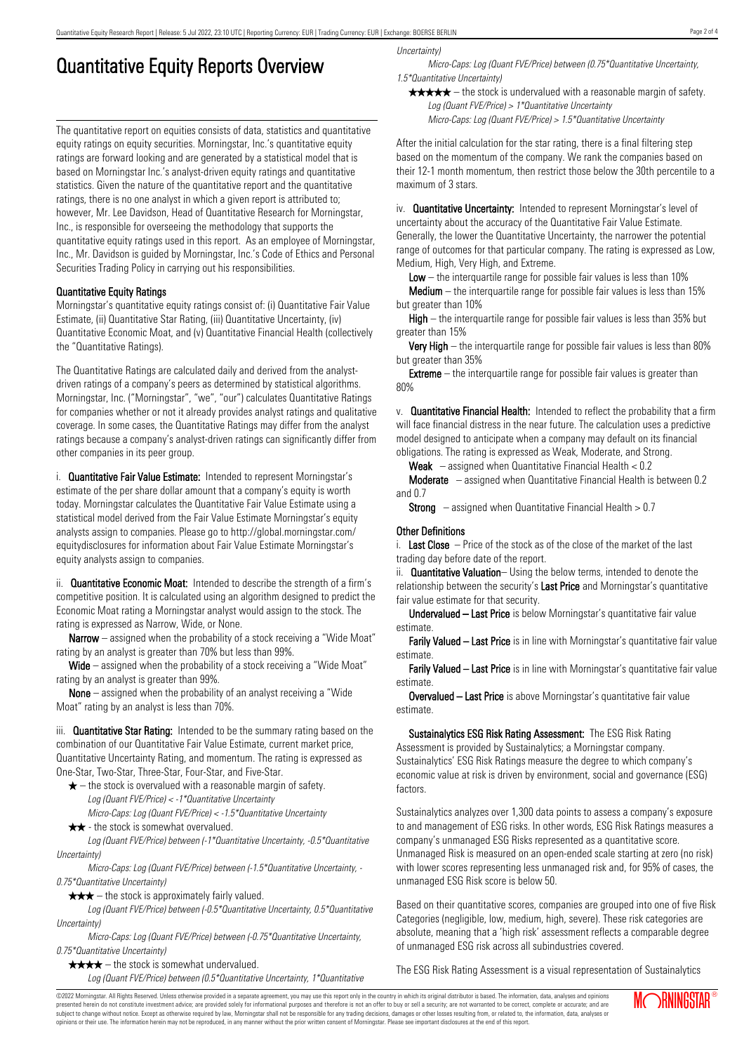# Quantitative Equity Reports Overview

The quantitative report on equities consists of data, statistics and quantitative equity ratings on equity securities. Morningstar, Inc.'s quantitative equity ratings are forward looking and are generated by a statistical model that is based on Morningstar Inc.'s analyst-driven equity ratings and quantitative statistics. Given the nature of the quantitative report and the quantitative ratings, there is no one analyst in which a given report is attributed to; however, Mr. Lee Davidson, Head of Quantitative Research for Morningstar, Inc., is responsible for overseeing the methodology that supports the quantitative equity ratings used in this report. As an employee of Morningstar, Inc., Mr. Davidson is guided by Morningstar, Inc.'s Code of Ethics and Personal Securities Trading Policy in carrying out his responsibilities.

# Quantitative Equity Ratings

Morningstar's quantitative equity ratings consist of: (i) Quantitative Fair Value Estimate, (ii) Quantitative Star Rating, (iii) Quantitative Uncertainty, (iv) Quantitative Economic Moat, and (v) Quantitative Financial Health (collectively the "Quantitative Ratings).

The Quantitative Ratings are calculated daily and derived from the analystdriven ratings of a company's peers as determined by statistical algorithms. Morningstar, Inc. ("Morningstar", "we", "our") calculates Quantitative Ratings for companies whether or not it already provides analyst ratings and qualitative coverage. In some cases, the Quantitative Ratings may differ from the analyst ratings because a company's analyst-driven ratings can significantly differ from other companies in its peer group.

i. **Quantitative Fair Value Estimate:** Intended to represent Morningstar's estimate of the per share dollar amount that a company's equity is worth today. Morningstar calculates the Quantitative Fair Value Estimate using a statistical model derived from the Fair Value Estimate Morningstar's equity analysts assign to companies. Please go to http://global.morningstar.com/ equitydisclosures for information about Fair Value Estimate Morningstar's equity analysts assign to companies.

ii. **Quantitative Economic Moat:** Intended to describe the strength of a firm's competitive position. It is calculated using an algorithm designed to predict the Economic Moat rating a Morningstar analyst would assign to the stock. The rating is expressed as Narrow, Wide, or None.

**Narrow** – assigned when the probability of a stock receiving a "Wide Moat" rating by an analyst is greater than 70% but less than 99%.

Wide – assigned when the probability of a stock receiving a "Wide Moat" rating by an analyst is greater than 99%.

None – assigned when the probability of an analyst receiving a "Wide Moat" rating by an analyst is less than 70%.

iii. **Quantitative Star Rating:** Intended to be the summary rating based on the combination of our Quantitative Fair Value Estimate, current market price, Quantitative Uncertainty Rating, and momentum. The rating is expressed as One-Star, Two-Star, Three-Star, Four-Star, and Five-Star.

- $\star$  the stock is overvalued with a reasonable margin of safety. Log (Quant FVE/Price) < -1\*Quantitative Uncertainty
- Micro-Caps: Log (Quant FVE/Price) < -1.5\*Quantitative Uncertainty  $\star \star$  - the stock is somewhat overvalued.

Log (Quant FVE/Price) between (-1\*Quantitative Uncertainty, -0.5\*Quantitative Uncertainty)

Micro-Caps: Log (Quant FVE/Price) between (-1.5\*Quantitative Uncertainty, - 0.75\*Quantitative Uncertainty)

 $\star \star \star$  – the stock is approximately fairly valued.

Log (Quant FVE/Price) between (-0.5\*Quantitative Uncertainty, 0.5\*Quantitative Uncertainty)

Micro-Caps: Log (Quant FVE/Price) between (-0.75\*Quantitative Uncertainty, 0.75\*Quantitative Uncertainty)

 $\star \star \star \star$  – the stock is somewhat undervalued.

Log (Quant FVE/Price) between (0.5\*Quantitative Uncertainty, 1\*Quantitative

Uncertainty)

Micro-Caps: Log (Quant FVE/Price) between (0.75\*Quantitative Uncertainty, 1.5\*Quantitative Uncertainty)

 $\star \star \star \star$  – the stock is undervalued with a reasonable margin of safety. Log (Quant FVE/Price) > 1\*Quantitative Uncertainty

Micro-Caps: Log (Quant FVE/Price) > 1.5\*Quantitative Uncertainty

After the initial calculation for the star rating, there is a final filtering step based on the momentum of the company. We rank the companies based on their 12-1 month momentum, then restrict those below the 30th percentile to a maximum of 3 stars.

iv. **Quantitative Uncertainty:** Intended to represent Morningstar's level of uncertainty about the accuracy of the Quantitative Fair Value Estimate. Generally, the lower the Quantitative Uncertainty, the narrower the potential range of outcomes for that particular company. The rating is expressed as Low, Medium, High, Very High, and Extreme.

**Low** – the interguartile range for possible fair values is less than  $10\%$ 

**Medium** – the interquartile range for possible fair values is less than  $15\%$ but greater than 10%

High – the interquartile range for possible fair values is less than 35% but greater than 15%

Very High – the interquartile range for possible fair values is less than 80% but greater than 35%

**Extreme** – the interquartile range for possible fair values is greater than 80%

v. Quantitative Financial Health: Intended to reflect the probability that a firm will face financial distress in the near future. The calculation uses a predictive model designed to anticipate when a company may default on its financial obligations. The rating is expressed as Weak, Moderate, and Strong.

**Weak**  $-$  assigned when Quantitative Financial Health  $< 0.2$ 

Moderate – assigned when Quantitative Financial Health is between 0.2 and 0.7

**Strong** – assigned when Quantitative Financial Health  $> 0.7$ 

## Other Definitions

i. Last Close  $-$  Price of the stock as of the close of the market of the last trading day before date of the report.

ii. **Quantitative Valuation**– Using the below terms, intended to denote the relationship between the security's Last Price and Morningstar's quantitative fair value estimate for that security.

Undervalued – Last Price is below Morningstar's quantitative fair value estimate.

Farily Valued – Last Price is in line with Morningstar's quantitative fair value estimate.

Farily Valued – Last Price is in line with Morningstar's quantitative fair value estimate.

Overvalued – Last Price is above Morningstar's quantitative fair value estimate.

Sustainalytics ESG Risk Rating Assessment: The ESG Risk Rating Assessment is provided by Sustainalytics; a Morningstar company. Sustainalytics' ESG Risk Ratings measure the degree to which company's economic value at risk is driven by environment, social and governance (ESG) factors.

Sustainalytics analyzes over 1,300 data points to assess a company's exposure to and management of ESG risks. In other words, ESG Risk Ratings measures a company's unmanaged ESG Risks represented as a quantitative score. Unmanaged Risk is measured on an open-ended scale starting at zero (no risk) with lower scores representing less unmanaged risk and, for 95% of cases, the unmanaged ESG Risk score is below 50.

Based on their quantitative scores, companies are grouped into one of five Risk Categories (negligible, low, medium, high, severe). These risk categories are absolute, meaning that a 'high risk' assessment reflects a comparable degree of unmanaged ESG risk across all subindustries covered.

The ESG Risk Rating Assessment is a visual representation of Sustainalytics

©2022 Morningstar. All Rights Reserved. Unless otherwise provided in a separate agreement, you may use this report only in the country in which its original distributor is based. The information, data, analyses and opinions presented herein do not constitute investment advice; are provided solely for informational purposes and therefore is not an offer to buy or sell a security; are not warranted to be correct, complete or accurate; and are subject to change without notice. Except as otherwise required by law, Morningstar shall not be responsible for any trading decisions, damages or other losses resulting from, or related to, the information, data, analyses or opinions or their use. The information herein may not be reproduced, in any manner without the prior written consent of Morningstar. Please see important disclosures at the end of this report.

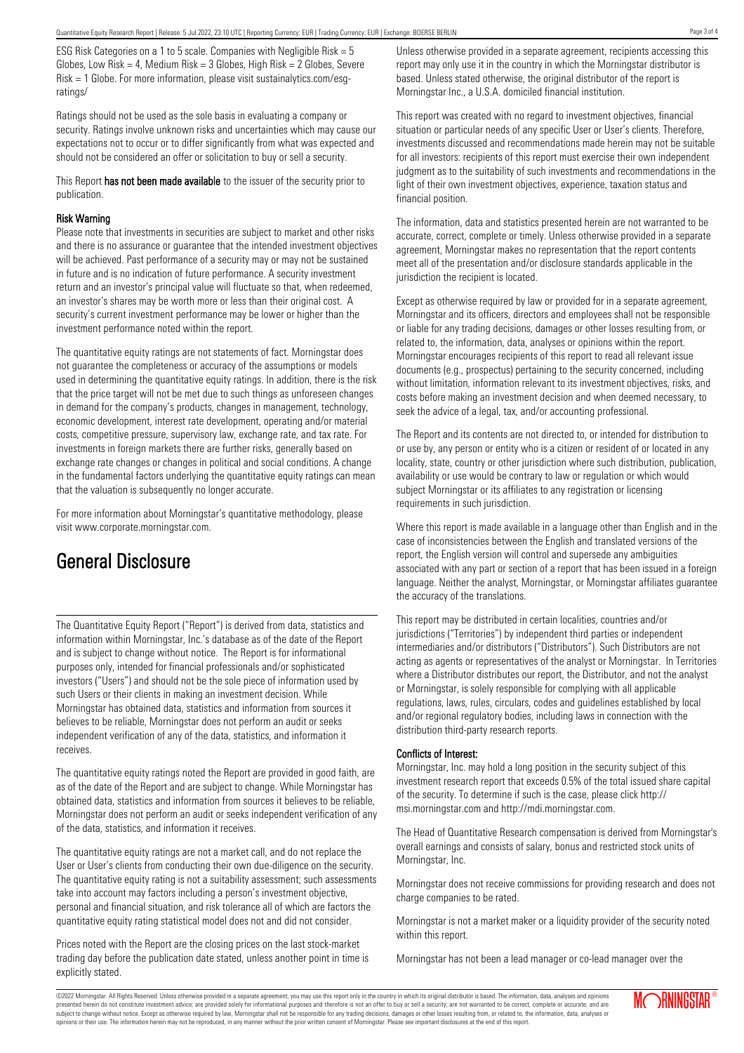ESG Risk Categories on a 1 to 5 scale. Companies with Negligible Risk = 5 Globes, Low Risk = 4, Medium Risk =  $3$  Globes, High Risk =  $2$  Globes, Severe Risk = 1 Globe. For more information, please visit sustainalytics.com/esgratings/

Ratings should not be used as the sole basis in evaluating a company or security. Ratings involve unknown risks and uncertainties which may cause our expectations not to occur or to differ significantly from what was expected and should not be considered an offer or solicitation to buy or sell a security.

This Report has not been made available to the issuer of the security prior to publication.

### Risk Warning

Please note that investments in securities are subject to market and other risks and there is no assurance or guarantee that the intended investment objectives will be achieved. Past performance of a security may or may not be sustained in future and is no indication of future performance. A security investment return and an investor's principal value will fluctuate so that, when redeemed, an investor's shares may be worth more or less than their original cost. A security's current investment performance may be lower or higher than the investment performance noted within the report.

The quantitative equity ratings are not statements of fact. Morningstar does not guarantee the completeness or accuracy of the assumptions or models used in determining the quantitative equity ratings. In addition, there is the risk that the price target will not be met due to such things as unforeseen changes in demand for the company's products, changes in management, technology, economic development, interest rate development, operating and/or material costs, competitive pressure, supervisory law, exchange rate, and tax rate. For investments in foreign markets there are further risks, generally based on exchange rate changes or changes in political and social conditions. A change in the fundamental factors underlying the quantitative equity ratings can mean that the valuation is subsequently no longer accurate.

For more information about Morningstar's quantitative methodology, please visit www.corporate.morningstar.com.

# General Disclosure

The Quantitative Equity Report ("Report") is derived from data, statistics and information within Morningstar, Inc.'s database as of the date of the Report and is subject to change without notice. The Report is for informational purposes only, intended for financial professionals and/or sophisticated investors ("Users") and should not be the sole piece of information used by such Users or their clients in making an investment decision. While Morningstar has obtained data, statistics and information from sources it believes to be reliable, Morningstar does not perform an audit or seeks independent verification of any of the data, statistics, and information it receives.

The quantitative equity ratings noted the Report are provided in good faith, are as of the date of the Report and are subject to change. While Morningstar has obtained data, statistics and information from sources it believes to be reliable, Morningstar does not perform an audit or seeks independent verification of any of the data, statistics, and information it receives.

The quantitative equity ratings are not a market call, and do not replace the User or User's clients from conducting their own due-diligence on the security. The quantitative equity rating is not a suitability assessment; such assessments take into account may factors including a person's investment objective, personal and financial situation, and risk tolerance all of which are factors the quantitative equity rating statistical model does not and did not consider.

Prices noted with the Report are the closing prices on the last stock-market trading day before the publication date stated, unless another point in time is explicitly stated.

Unless otherwise provided in a separate agreement, recipients accessing this report may only use it in the country in which the Morningstar distributor is based. Unless stated otherwise, the original distributor of the report is Morningstar Inc., a U.S.A. domiciled financial institution.

This report was created with no regard to investment objectives, financial situation or particular needs of any specific User or User's clients. Therefore, investments discussed and recommendations made herein may not be suitable for all investors: recipients of this report must exercise their own independent judgment as to the suitability of such investments and recommendations in the light of their own investment objectives, experience, taxation status and financial position.

The information, data and statistics presented herein are not warranted to be accurate, correct, complete or timely. Unless otherwise provided in a separate agreement, Morningstar makes no representation that the report contents meet all of the presentation and/or disclosure standards applicable in the jurisdiction the recipient is located.

Except as otherwise required by law or provided for in a separate agreement, Morningstar and its officers, directors and employees shall not be responsible or liable for any trading decisions, damages or other losses resulting from, or related to, the information, data, analyses or opinions within the report. Morningstar encourages recipients of this report to read all relevant issue documents (e.g., prospectus) pertaining to the security concerned, including without limitation, information relevant to its investment objectives, risks, and costs before making an investment decision and when deemed necessary, to seek the advice of a legal, tax, and/or accounting professional.

The Report and its contents are not directed to, or intended for distribution to or use by, any person or entity who is a citizen or resident of or located in any locality, state, country or other jurisdiction where such distribution, publication, availability or use would be contrary to law or regulation or which would subject Morningstar or its affiliates to any registration or licensing requirements in such jurisdiction.

Where this report is made available in a language other than English and in the case of inconsistencies between the English and translated versions of the report, the English version will control and supersede any ambiguities associated with any part or section of a report that has been issued in a foreign language. Neither the analyst, Morningstar, or Morningstar affiliates guarantee the accuracy of the translations.

This report may be distributed in certain localities, countries and/or jurisdictions ("Territories") by independent third parties or independent intermediaries and/or distributors ("Distributors"). Such Distributors are not acting as agents or representatives of the analyst or Morningstar. In Territories where a Distributor distributes our report, the Distributor, and not the analyst or Morningstar, is solely responsible for complying with all applicable regulations, laws, rules, circulars, codes and guidelines established by local and/or regional regulatory bodies, including laws in connection with the distribution third-party research reports.

### Conflicts of Interest:

Morningstar, Inc. may hold a long position in the security subject of this investment research report that exceeds 0.5% of the total issued share capital of the security. To determine if such is the case, please click http:// msi.morningstar.com and http://mdi.morningstar.com.

The Head of Quantitative Research compensation is derived from Morningstar's overall earnings and consists of salary, bonus and restricted stock units of Morningstar, Inc.

Morningstar does not receive commissions for providing research and does not charge companies to be rated.

within this report.

Morningstar has not been a lead manager or co-lead manager over the

©2022 Morningstar. All Rights Reserved. Unless otherwise provided in a separate agreement, you may use this report only in the country in which its original distributor is based. The information, data, analyses and opinions presented herein do not constitute investment advice; are provided solely for informational purposes and therefore is not an offer to buy or sell a security; are not warranted to be correct, complete or accurate; and are subject to change without notice. Except as otherwise required by law, Morningstar shall not be responsible for any trading decisions, damages or other losses resulting from, or related to, the information, data, analyses or opinions or their use. The information herein may not be reproduced, in any manner without the prior written consent of Morningstar. Please see important disclosures at the end of this report.